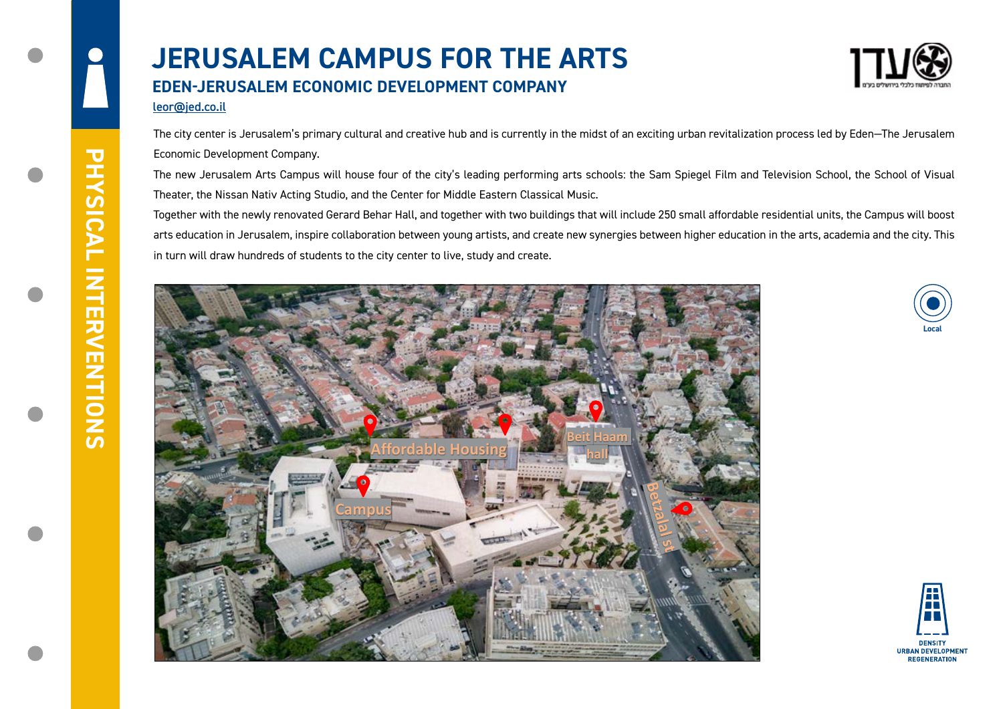The city center is Jerusalem's primary cultural and creative hub and is currently in the midst of an exciting urban revitalization process led by Eden—The Jerusalem Economic Development Company.

The new Jerusalem Arts Campus will house four of the city's leading performing arts schools: the Sam Spiegel Film and Television School, the School of Visual Theater, the Nissan Nativ Acting Studio, and the Center for Middle Eastern Classical Music.

## **JERUSALEM CAMPUS FOR THE ARTS EDEN-JERUSALEM ECONOMIC DEVELOPMENT COMPANY**

Together with the newly renovated Gerard Behar Hall, and together with two buildings that will include 250 small affordable residential units, the Campus will boost arts education in Jerusalem, inspire collaboration between young artists, and create new synergies between higher education in the arts, academia and the city. This in turn will draw hundreds of students to the city center to live, study and create.









## leor@jed.co.il